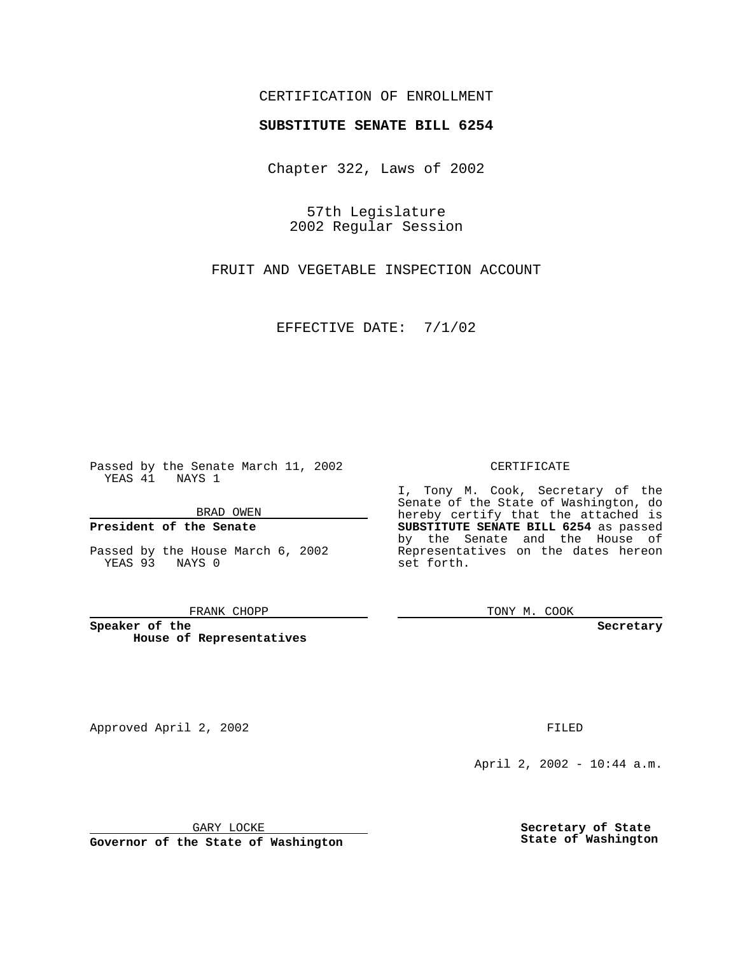# CERTIFICATION OF ENROLLMENT

# **SUBSTITUTE SENATE BILL 6254**

Chapter 322, Laws of 2002

57th Legislature 2002 Regular Session

FRUIT AND VEGETABLE INSPECTION ACCOUNT

EFFECTIVE DATE: 7/1/02

Passed by the Senate March 11, 2002 YEAS 41 NAYS 1

BRAD OWEN

## **President of the Senate**

Passed by the House March 6, 2002 YEAS 93 NAYS 0

#### FRANK CHOPP

**Speaker of the House of Representatives**

April 2, 2002 - 10:44 a.m.

GARY LOCKE

**Governor of the State of Washington**

**Secretary of State State of Washington**

### CERTIFICATE

I, Tony M. Cook, Secretary of the Senate of the State of Washington, do hereby certify that the attached is **SUBSTITUTE SENATE BILL 6254** as passed by the Senate and the House of Representatives on the dates hereon set forth.

TONY M. COOK

**Secretary**

Approved April 2, 2002 **FILED**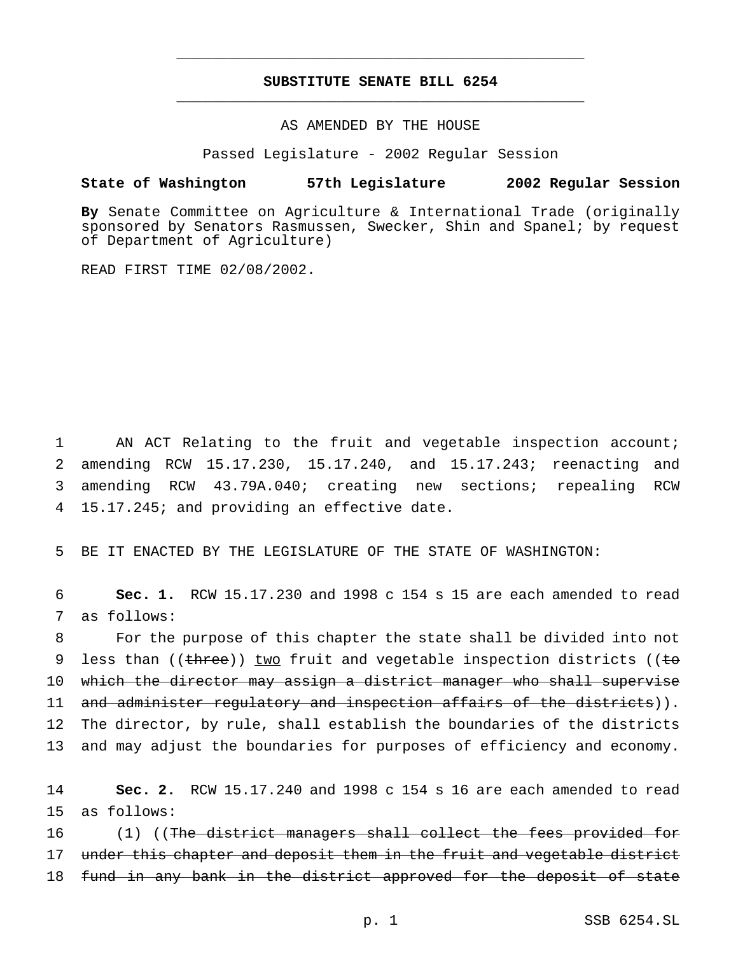# **SUBSTITUTE SENATE BILL 6254** \_\_\_\_\_\_\_\_\_\_\_\_\_\_\_\_\_\_\_\_\_\_\_\_\_\_\_\_\_\_\_\_\_\_\_\_\_\_\_\_\_\_\_\_\_\_\_

\_\_\_\_\_\_\_\_\_\_\_\_\_\_\_\_\_\_\_\_\_\_\_\_\_\_\_\_\_\_\_\_\_\_\_\_\_\_\_\_\_\_\_\_\_\_\_

AS AMENDED BY THE HOUSE

Passed Legislature - 2002 Regular Session

## **State of Washington 57th Legislature 2002 Regular Session**

**By** Senate Committee on Agriculture & International Trade (originally sponsored by Senators Rasmussen, Swecker, Shin and Spanel; by request of Department of Agriculture)

READ FIRST TIME 02/08/2002.

 AN ACT Relating to the fruit and vegetable inspection account; amending RCW 15.17.230, 15.17.240, and 15.17.243; reenacting and amending RCW 43.79A.040; creating new sections; repealing RCW 15.17.245; and providing an effective date.

5 BE IT ENACTED BY THE LEGISLATURE OF THE STATE OF WASHINGTON:

6 **Sec. 1.** RCW 15.17.230 and 1998 c 154 s 15 are each amended to read 7 as follows:

 For the purpose of this chapter the state shall be divided into not 9 less than (( $t$ hree)) two fruit and vegetable inspection districts (( $t$ o which the director may assign a district manager who shall supervise 11 and administer regulatory and inspection affairs of the districts)). The director, by rule, shall establish the boundaries of the districts and may adjust the boundaries for purposes of efficiency and economy.

14 **Sec. 2.** RCW 15.17.240 and 1998 c 154 s 16 are each amended to read 15 as follows:

16 (1) ((The district managers shall collect the fees provided for 17 under this chapter and deposit them in the fruit and vegetable district 18 fund in any bank in the district approved for the deposit of state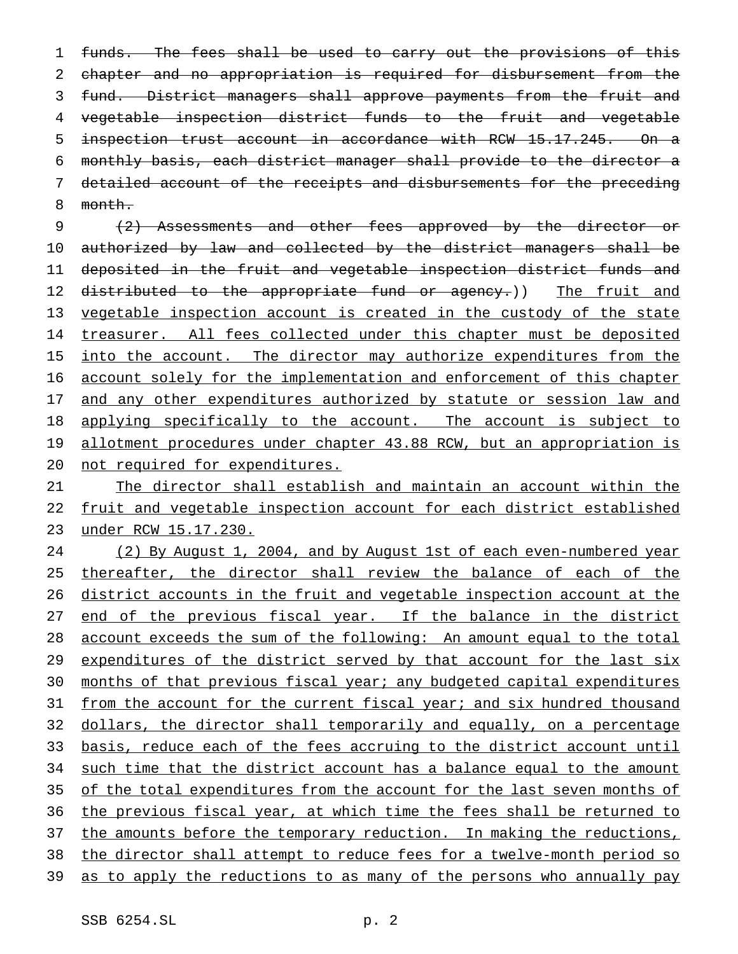1 funds. The fees shall be used to carry out the provisions of this chapter and no appropriation is required for disbursement from the fund. District managers shall approve payments from the fruit and vegetable inspection district funds to the fruit and vegetable inspection trust account in accordance with RCW 15.17.245. On a monthly basis, each district manager shall provide to the director a detailed account of the receipts and disbursements for the preceding 8 month.

9 (2) Assessments and other fees approved by the director or 10 authorized by law and collected by the district managers shall be 11 deposited in the fruit and vegetable inspection district funds and 12 distributed to the appropriate fund or agency.)) The fruit and 13 vegetable inspection account is created in the custody of the state 14 treasurer. All fees collected under this chapter must be deposited 15 into the account. The director may authorize expenditures from the 16 account solely for the implementation and enforcement of this chapter 17 and any other expenditures authorized by statute or session law and 18 applying specifically to the account. The account is subject to 19 allotment procedures under chapter 43.88 RCW, but an appropriation is 20 not required for expenditures.

21 The director shall establish and maintain an account within the 22 fruit and vegetable inspection account for each district established 23 under RCW 15.17.230.

24 (2) By August 1, 2004, and by August 1st of each even-numbered year 25 thereafter, the director shall review the balance of each of the 26 district accounts in the fruit and vegetable inspection account at the 27 end of the previous fiscal year. If the balance in the district 28 account exceeds the sum of the following: An amount equal to the total 29 expenditures of the district served by that account for the last six 30 months of that previous fiscal year; any budgeted capital expenditures 31 from the account for the current fiscal year; and six hundred thousand 32 dollars, the director shall temporarily and equally, on a percentage 33 basis, reduce each of the fees accruing to the district account until 34 such time that the district account has a balance equal to the amount 35 of the total expenditures from the account for the last seven months of 36 the previous fiscal year, at which time the fees shall be returned to 37 the amounts before the temporary reduction. In making the reductions, 38 the director shall attempt to reduce fees for a twelve-month period so 39 as to apply the reductions to as many of the persons who annually pay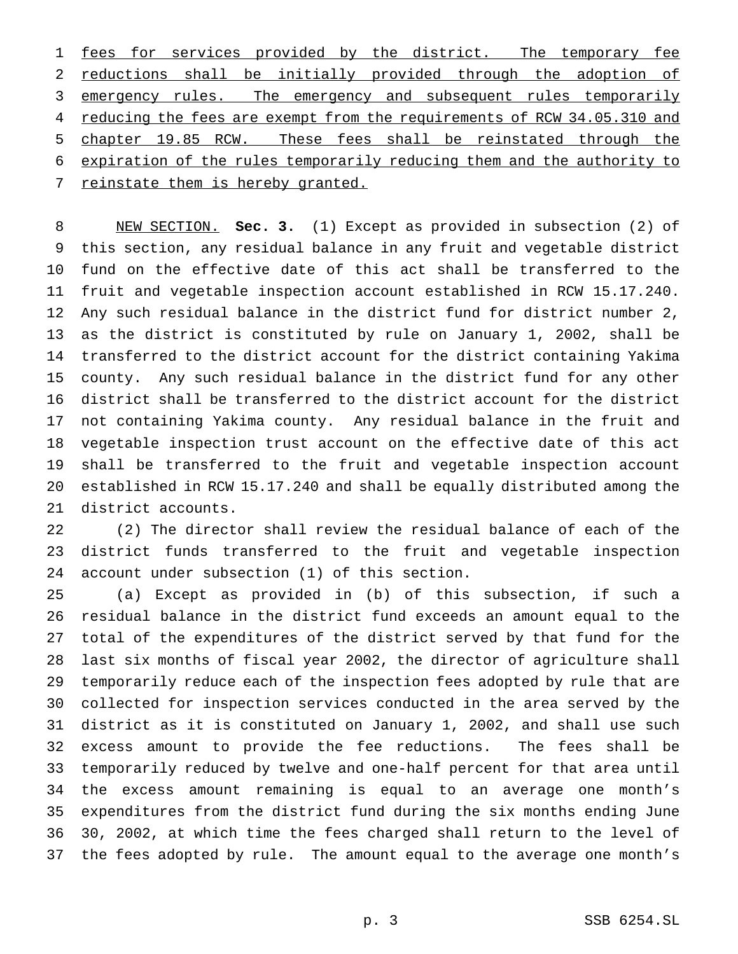1 fees for services provided by the district. The temporary fee reductions shall be initially provided through the adoption of 3 emergency rules. The emergency and subsequent rules temporarily 4 reducing the fees are exempt from the requirements of RCW 34.05.310 and chapter 19.85 RCW. These fees shall be reinstated through the expiration of the rules temporarily reducing them and the authority to 7 reinstate them is hereby granted.

 NEW SECTION. **Sec. 3.** (1) Except as provided in subsection (2) of this section, any residual balance in any fruit and vegetable district fund on the effective date of this act shall be transferred to the fruit and vegetable inspection account established in RCW 15.17.240. Any such residual balance in the district fund for district number 2, as the district is constituted by rule on January 1, 2002, shall be transferred to the district account for the district containing Yakima county. Any such residual balance in the district fund for any other district shall be transferred to the district account for the district not containing Yakima county. Any residual balance in the fruit and vegetable inspection trust account on the effective date of this act shall be transferred to the fruit and vegetable inspection account established in RCW 15.17.240 and shall be equally distributed among the district accounts.

 (2) The director shall review the residual balance of each of the district funds transferred to the fruit and vegetable inspection account under subsection (1) of this section.

 (a) Except as provided in (b) of this subsection, if such a residual balance in the district fund exceeds an amount equal to the total of the expenditures of the district served by that fund for the last six months of fiscal year 2002, the director of agriculture shall temporarily reduce each of the inspection fees adopted by rule that are collected for inspection services conducted in the area served by the district as it is constituted on January 1, 2002, and shall use such excess amount to provide the fee reductions. The fees shall be temporarily reduced by twelve and one-half percent for that area until the excess amount remaining is equal to an average one month's expenditures from the district fund during the six months ending June 30, 2002, at which time the fees charged shall return to the level of the fees adopted by rule. The amount equal to the average one month's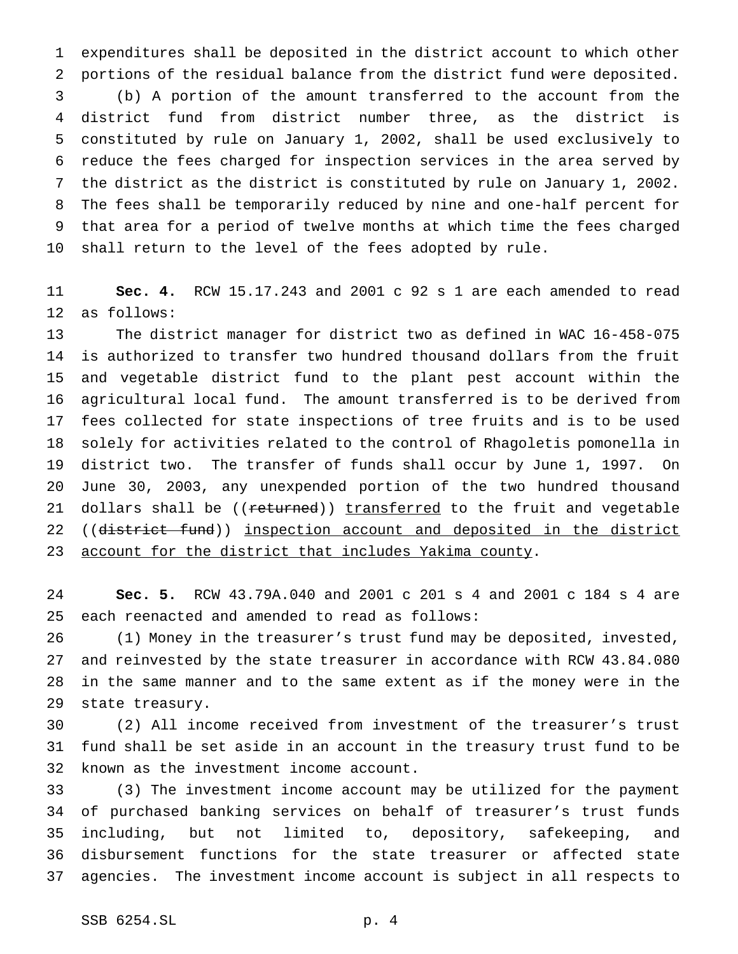expenditures shall be deposited in the district account to which other portions of the residual balance from the district fund were deposited. (b) A portion of the amount transferred to the account from the district fund from district number three, as the district is constituted by rule on January 1, 2002, shall be used exclusively to reduce the fees charged for inspection services in the area served by the district as the district is constituted by rule on January 1, 2002. The fees shall be temporarily reduced by nine and one-half percent for that area for a period of twelve months at which time the fees charged shall return to the level of the fees adopted by rule.

 **Sec. 4.** RCW 15.17.243 and 2001 c 92 s 1 are each amended to read as follows:

 The district manager for district two as defined in WAC 16-458-075 is authorized to transfer two hundred thousand dollars from the fruit and vegetable district fund to the plant pest account within the agricultural local fund. The amount transferred is to be derived from fees collected for state inspections of tree fruits and is to be used solely for activities related to the control of Rhagoletis pomonella in district two. The transfer of funds shall occur by June 1, 1997. On June 30, 2003, any unexpended portion of the two hundred thousand 21 dollars shall be ((returned)) transferred to the fruit and vegetable 22 ((district fund)) inspection account and deposited in the district account for the district that includes Yakima county.

 **Sec. 5.** RCW 43.79A.040 and 2001 c 201 s 4 and 2001 c 184 s 4 are each reenacted and amended to read as follows:

 (1) Money in the treasurer's trust fund may be deposited, invested, and reinvested by the state treasurer in accordance with RCW 43.84.080 in the same manner and to the same extent as if the money were in the state treasury.

 (2) All income received from investment of the treasurer's trust fund shall be set aside in an account in the treasury trust fund to be known as the investment income account.

 (3) The investment income account may be utilized for the payment of purchased banking services on behalf of treasurer's trust funds including, but not limited to, depository, safekeeping, and disbursement functions for the state treasurer or affected state agencies. The investment income account is subject in all respects to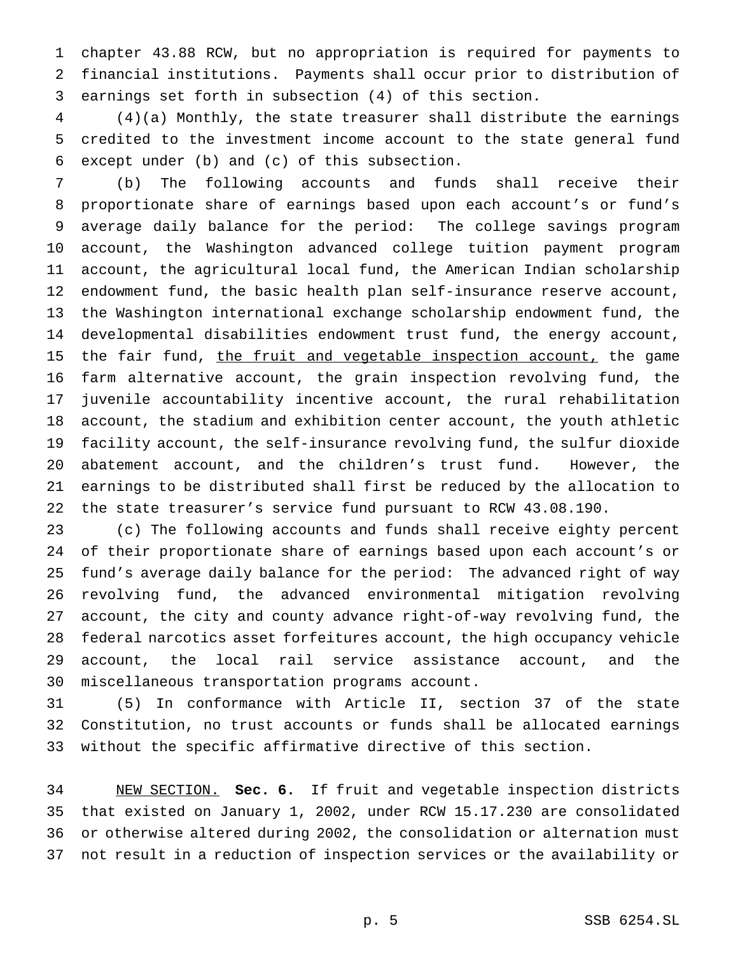chapter 43.88 RCW, but no appropriation is required for payments to financial institutions. Payments shall occur prior to distribution of earnings set forth in subsection (4) of this section.

 (4)(a) Monthly, the state treasurer shall distribute the earnings credited to the investment income account to the state general fund except under (b) and (c) of this subsection.

 (b) The following accounts and funds shall receive their proportionate share of earnings based upon each account's or fund's average daily balance for the period: The college savings program account, the Washington advanced college tuition payment program account, the agricultural local fund, the American Indian scholarship endowment fund, the basic health plan self-insurance reserve account, the Washington international exchange scholarship endowment fund, the developmental disabilities endowment trust fund, the energy account, 15 the fair fund, the fruit and vegetable inspection account, the game farm alternative account, the grain inspection revolving fund, the juvenile accountability incentive account, the rural rehabilitation account, the stadium and exhibition center account, the youth athletic facility account, the self-insurance revolving fund, the sulfur dioxide abatement account, and the children's trust fund. However, the earnings to be distributed shall first be reduced by the allocation to the state treasurer's service fund pursuant to RCW 43.08.190.

 (c) The following accounts and funds shall receive eighty percent of their proportionate share of earnings based upon each account's or fund's average daily balance for the period: The advanced right of way revolving fund, the advanced environmental mitigation revolving account, the city and county advance right-of-way revolving fund, the federal narcotics asset forfeitures account, the high occupancy vehicle account, the local rail service assistance account, and the miscellaneous transportation programs account.

 (5) In conformance with Article II, section 37 of the state Constitution, no trust accounts or funds shall be allocated earnings without the specific affirmative directive of this section.

 NEW SECTION. **Sec. 6.** If fruit and vegetable inspection districts that existed on January 1, 2002, under RCW 15.17.230 are consolidated or otherwise altered during 2002, the consolidation or alternation must not result in a reduction of inspection services or the availability or